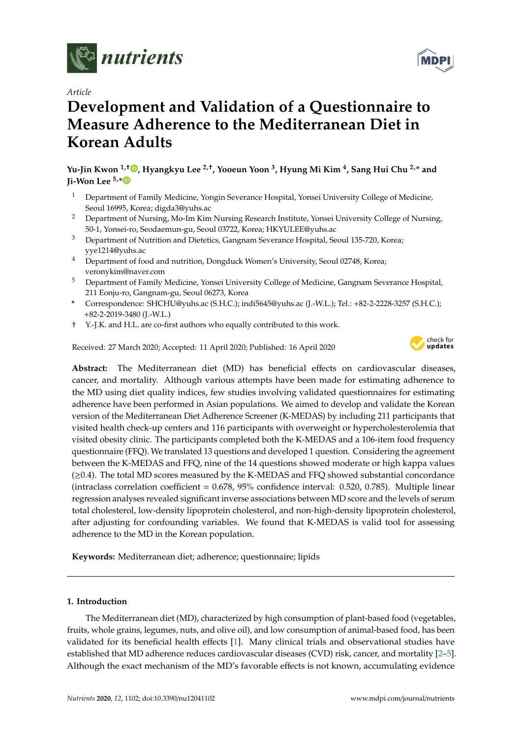

*Article*

# **Development and Validation of a Questionnaire to Measure Adherence to the Mediterranean Diet in Korean Adults**

**Yu-Jin Kwon 1,**[†](https://orcid.org/0000-0002-9021-3856) **, Hyangkyu Lee 2,**† **, Yooeun Yoon <sup>3</sup> , Hyung Mi Kim <sup>4</sup> , Sang Hui Chu 2,\* and Ji-Won Lee 5,[\\*](https://orcid.org/0000-0002-2666-4249)**

- <sup>1</sup> Department of Family Medicine, Yongin Severance Hospital, Yonsei University College of Medicine, Seoul 16995, Korea; digda3@yuhs.ac
- <sup>2</sup> Department of Nursing, Mo-Im Kim Nursing Research Institute, Yonsei University College of Nursing, 50-1, Yonsei-ro, Seodaemun-gu, Seoul 03722, Korea; HKYULEE@yuhs.ac
- <sup>3</sup> Department of Nutrition and Dietetics, Gangnam Severance Hospital, Seoul 135-720, Korea; yye1214@yuhs.ac
- <sup>4</sup> Department of food and nutrition, Dongduck Women's University, Seoul 02748, Korea; veronykim@naver.com
- <sup>5</sup> Department of Family Medicine, Yonsei University College of Medicine, Gangnam Severance Hospital, 211 Eonju-ro, Gangnam-gu, Seoul 06273, Korea
- **\*** Correspondence: SHCHU@yuhs.ac (S.H.C.); indi5645@yuhs.ac (J.-W.L.); Tel.: +82-2-2228-3257 (S.H.C.); +82-2-2019-3480 (J.-W.L.)
- † Y.-J.K. and H.L. are co-first authors who equally contributed to this work.

Received: 27 March 2020; Accepted: 11 April 2020; Published: 16 April 2020



**Abstract:** The Mediterranean diet (MD) has beneficial effects on cardiovascular diseases, cancer, and mortality. Although various attempts have been made for estimating adherence to the MD using diet quality indices, few studies involving validated questionnaires for estimating adherence have been performed in Asian populations. We aimed to develop and validate the Korean version of the Mediterranean Diet Adherence Screener (K-MEDAS) by including 211 participants that visited health check-up centers and 116 participants with overweight or hypercholesterolemia that visited obesity clinic. The participants completed both the K-MEDAS and a 106-item food frequency questionnaire (FFQ). We translated 13 questions and developed 1 question. Considering the agreement between the K-MEDAS and FFQ, nine of the 14 questions showed moderate or high kappa values (≥0.4). The total MD scores measured by the K-MEDAS and FFQ showed substantial concordance (intraclass correlation coefficient = 0.678, 95% confidence interval: 0.520, 0.785). Multiple linear regression analyses revealed significant inverse associations between MD score and the levels of serum total cholesterol, low-density lipoprotein cholesterol, and non-high-density lipoprotein cholesterol, after adjusting for confounding variables. We found that K-MEDAS is valid tool for assessing adherence to the MD in the Korean population.

**Keywords:** Mediterranean diet; adherence; questionnaire; lipids

# **1. Introduction**

The Mediterranean diet (MD), characterized by high consumption of plant-based food (vegetables, fruits, whole grains, legumes, nuts, and olive oil), and low consumption of animal-based food, has been validated for its beneficial health effects [\[1\]](#page-9-0). Many clinical trials and observational studies have established that MD adherence reduces cardiovascular diseases (CVD) risk, cancer, and mortality [\[2–](#page-9-1)[5\]](#page-9-2). Although the exact mechanism of the MD's favorable effects is not known, accumulating evidence

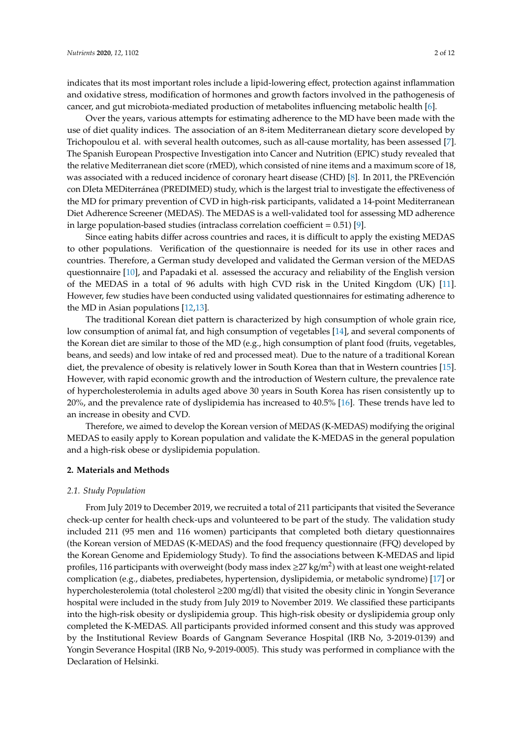indicates that its most important roles include a lipid-lowering effect, protection against inflammation and oxidative stress, modification of hormones and growth factors involved in the pathogenesis of cancer, and gut microbiota-mediated production of metabolites influencing metabolic health [\[6\]](#page-9-3).

Over the years, various attempts for estimating adherence to the MD have been made with the use of diet quality indices. The association of an 8-item Mediterranean dietary score developed by Trichopoulou et al. with several health outcomes, such as all-cause mortality, has been assessed [\[7\]](#page-9-4). The Spanish European Prospective Investigation into Cancer and Nutrition (EPIC) study revealed that the relative Mediterranean diet score (rMED), which consisted of nine items and a maximum score of 18, was associated with a reduced incidence of coronary heart disease (CHD) [\[8\]](#page-9-5). In 2011, the PREvención con DIeta MEDiterránea (PREDIMED) study, which is the largest trial to investigate the effectiveness of the MD for primary prevention of CVD in high-risk participants, validated a 14-point Mediterranean Diet Adherence Screener (MEDAS). The MEDAS is a well-validated tool for assessing MD adherence in large population-based studies (intraclass correlation coefficient =  $0.51$ ) [\[9\]](#page-10-0).

Since eating habits differ across countries and races, it is difficult to apply the existing MEDAS to other populations. Verification of the questionnaire is needed for its use in other races and countries. Therefore, a German study developed and validated the German version of the MEDAS questionnaire [\[10\]](#page-10-1), and Papadaki et al. assessed the accuracy and reliability of the English version of the MEDAS in a total of 96 adults with high CVD risk in the United Kingdom (UK) [\[11\]](#page-10-2). However, few studies have been conducted using validated questionnaires for estimating adherence to the MD in Asian populations [\[12](#page-10-3)[,13\]](#page-10-4).

The traditional Korean diet pattern is characterized by high consumption of whole grain rice, low consumption of animal fat, and high consumption of vegetables [\[14\]](#page-10-5), and several components of the Korean diet are similar to those of the MD (e.g., high consumption of plant food (fruits, vegetables, beans, and seeds) and low intake of red and processed meat). Due to the nature of a traditional Korean diet, the prevalence of obesity is relatively lower in South Korea than that in Western countries [\[15\]](#page-10-6). However, with rapid economic growth and the introduction of Western culture, the prevalence rate of hypercholesterolemia in adults aged above 30 years in South Korea has risen consistently up to 20%, and the prevalence rate of dyslipidemia has increased to 40.5% [\[16\]](#page-10-7). These trends have led to an increase in obesity and CVD.

Therefore, we aimed to develop the Korean version of MEDAS (K-MEDAS) modifying the original MEDAS to easily apply to Korean population and validate the K-MEDAS in the general population and a high-risk obese or dyslipidemia population.

### **2. Materials and Methods**

#### *2.1. Study Population*

From July 2019 to December 2019, we recruited a total of 211 participants that visited the Severance check-up center for health check-ups and volunteered to be part of the study. The validation study included 211 (95 men and 116 women) participants that completed both dietary questionnaires (the Korean version of MEDAS (K-MEDAS) and the food frequency questionnaire (FFQ) developed by the Korean Genome and Epidemiology Study). To find the associations between K-MEDAS and lipid profiles, 116 participants with overweight (body mass index  $\geq$ 27 kg/m<sup>2</sup>) with at least one weight-related complication (e.g., diabetes, prediabetes, hypertension, dyslipidemia, or metabolic syndrome) [\[17\]](#page-10-8) or hypercholesterolemia (total cholesterol ≥200 mg/dl) that visited the obesity clinic in Yongin Severance hospital were included in the study from July 2019 to November 2019. We classified these participants into the high-risk obesity or dyslipidemia group. This high-risk obesity or dyslipidemia group only completed the K-MEDAS. All participants provided informed consent and this study was approved by the Institutional Review Boards of Gangnam Severance Hospital (IRB No, 3-2019-0139) and Yongin Severance Hospital (IRB No, 9-2019-0005). This study was performed in compliance with the Declaration of Helsinki.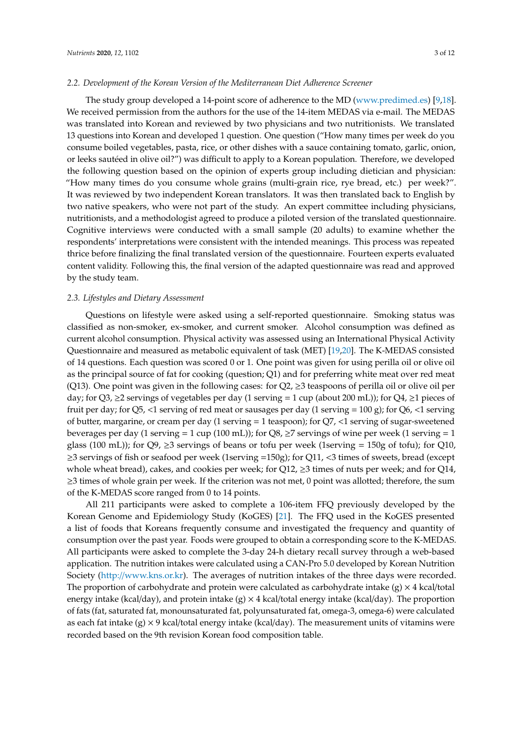#### *2.2. Development of the Korean Version of the Mediterranean Diet Adherence Screener*

The study group developed a 14-point score of adherence to the MD [\(www.predimed.es\)](www.predimed.es) [\[9,](#page-10-0)[18\]](#page-10-9). We received permission from the authors for the use of the 14-item MEDAS via e-mail. The MEDAS was translated into Korean and reviewed by two physicians and two nutritionists. We translated 13 questions into Korean and developed 1 question. One question ("How many times per week do you consume boiled vegetables, pasta, rice, or other dishes with a sauce containing tomato, garlic, onion, or leeks sautéed in olive oil?") was difficult to apply to a Korean population. Therefore, we developed the following question based on the opinion of experts group including dietician and physician: "How many times do you consume whole grains (multi-grain rice, rye bread, etc.) per week?". It was reviewed by two independent Korean translators. It was then translated back to English by two native speakers, who were not part of the study. An expert committee including physicians, nutritionists, and a methodologist agreed to produce a piloted version of the translated questionnaire. Cognitive interviews were conducted with a small sample (20 adults) to examine whether the respondents' interpretations were consistent with the intended meanings. This process was repeated thrice before finalizing the final translated version of the questionnaire. Fourteen experts evaluated content validity. Following this, the final version of the adapted questionnaire was read and approved by the study team.

#### *2.3. Lifestyles and Dietary Assessment*

Questions on lifestyle were asked using a self-reported questionnaire. Smoking status was classified as non-smoker, ex-smoker, and current smoker. Alcohol consumption was defined as current alcohol consumption. Physical activity was assessed using an International Physical Activity Questionnaire and measured as metabolic equivalent of task (MET) [\[19](#page-10-10)[,20\]](#page-10-11). The K-MEDAS consisted of 14 questions. Each question was scored 0 or 1. One point was given for using perilla oil or olive oil as the principal source of fat for cooking (question; Q1) and for preferring white meat over red meat (Q13). One point was given in the following cases: for  $Q2$ ,  $\geq$ 3 teaspoons of perilla oil or olive oil per day; for  $Q3$ ,  $\geq$ 2 servings of vegetables per day (1 serving = 1 cup (about 200 mL)); for  $Q4$ ,  $\geq$ 1 pieces of fruit per day; for Q5, <1 serving of red meat or sausages per day (1 serving =  $100 \text{ g}$ ); for Q6, <1 serving of butter, margarine, or cream per day (1 serving = 1 teaspoon); for Q7, <1 serving of sugar-sweetened beverages per day (1 serving = 1 cup (100 mL)); for Q8,  $\geq$ 7 servings of wine per week (1 serving = 1 glass (100 mL)); for  $Q9$ ,  $\geq$ 3 servings of beans or tofu per week (1serving = 150g of tofu); for  $Q10$ , ≥3 servings of fish or seafood per week (1serving =150g); for Q11, <3 times of sweets, bread (except whole wheat bread), cakes, and cookies per week; for Q12,  $\geq$ 3 times of nuts per week; and for Q14,  $\geq$ 3 times of whole grain per week. If the criterion was not met, 0 point was allotted; therefore, the sum of the K-MEDAS score ranged from 0 to 14 points.

All 211 participants were asked to complete a 106-item FFQ previously developed by the Korean Genome and Epidemiology Study (KoGES) [\[21\]](#page-10-12). The FFQ used in the KoGES presented a list of foods that Koreans frequently consume and investigated the frequency and quantity of consumption over the past year. Foods were grouped to obtain a corresponding score to the K-MEDAS. All participants were asked to complete the 3-day 24-h dietary recall survey through a web-based application. The nutrition intakes were calculated using a CAN-Pro 5.0 developed by Korean Nutrition Society (http://[www.kns.or.kr\)](http://www.kns.or.kr). The averages of nutrition intakes of the three days were recorded. The proportion of carbohydrate and protein were calculated as carbohydrate intake  $(g) \times 4$  kcal/total energy intake (kcal/day), and protein intake (g)  $\times$  4 kcal/total energy intake (kcal/day). The proportion of fats (fat, saturated fat, monounsaturated fat, polyunsaturated fat, omega-3, omega-6) were calculated as each fat intake  $(g) \times 9$  kcal/total energy intake (kcal/day). The measurement units of vitamins were recorded based on the 9th revision Korean food composition table.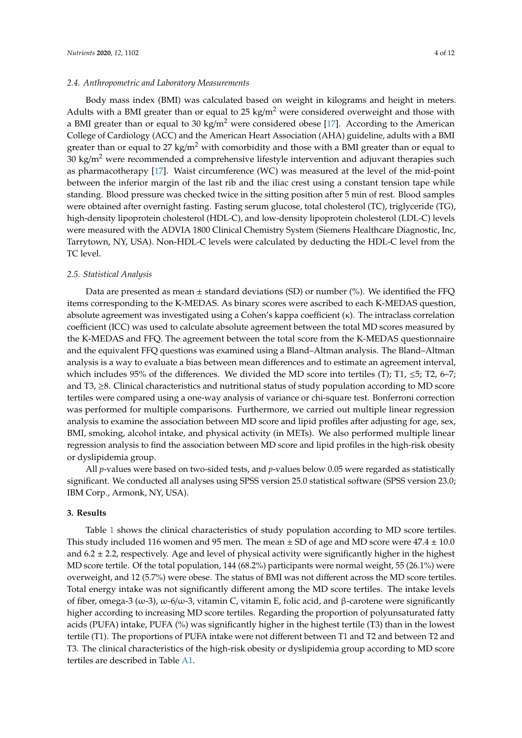## *2.4. Anthropometric and Laboratory Measurements*

Body mass index (BMI) was calculated based on weight in kilograms and height in meters. Adults with a BMI greater than or equal to 25 kg/m<sup>2</sup> were considered overweight and those with a BMI greater than or equal to 30 kg/m<sup>2</sup> were considered obese [\[17\]](#page-10-8). According to the American College of Cardiology (ACC) and the American Heart Association (AHA) guideline, adults with a BMI greater than or equal to 27 kg/m<sup>2</sup> with comorbidity and those with a BMI greater than or equal to 30 kg/m<sup>2</sup> were recommended a comprehensive lifestyle intervention and adjuvant therapies such as pharmacotherapy [\[17\]](#page-10-8). Waist circumference (WC) was measured at the level of the mid-point between the inferior margin of the last rib and the iliac crest using a constant tension tape while standing. Blood pressure was checked twice in the sitting position after 5 min of rest. Blood samples were obtained after overnight fasting. Fasting serum glucose, total cholesterol (TC), triglyceride (TG), high-density lipoprotein cholesterol (HDL-C), and low-density lipoprotein cholesterol (LDL-C) levels were measured with the ADVIA 1800 Clinical Chemistry System (Siemens Healthcare Diagnostic, Inc, Tarrytown, NY, USA). Non-HDL-C levels were calculated by deducting the HDL-C level from the TC level.

## *2.5. Statistical Analysis*

Data are presented as mean  $\pm$  standard deviations (SD) or number (%). We identified the FFQ items corresponding to the K-MEDAS. As binary scores were ascribed to each K-MEDAS question, absolute agreement was investigated using a Cohen's kappa coefficient (κ). The intraclass correlation coefficient (ICC) was used to calculate absolute agreement between the total MD scores measured by the K-MEDAS and FFQ. The agreement between the total score from the K-MEDAS questionnaire and the equivalent FFQ questions was examined using a Bland–Altman analysis. The Bland–Altman analysis is a way to evaluate a bias between mean differences and to estimate an agreement interval, which includes 95% of the differences. We divided the MD score into tertiles (T); T1,  $\leq$ 5; T2, 6–7; and T3, ≥8. Clinical characteristics and nutritional status of study population according to MD score tertiles were compared using a one-way analysis of variance or chi-square test. Bonferroni correction was performed for multiple comparisons. Furthermore, we carried out multiple linear regression analysis to examine the association between MD score and lipid profiles after adjusting for age, sex, BMI, smoking, alcohol intake, and physical activity (in METs). We also performed multiple linear regression analysis to find the association between MD score and lipid profiles in the high-risk obesity or dyslipidemia group.

All *p*-values were based on two-sided tests, and *p*-values below 0.05 were regarded as statistically significant. We conducted all analyses using SPSS version 25.0 statistical software (SPSS version 23.0; IBM Corp., Armonk, NY, USA).

# **3. Results**

Table [1](#page-4-0) shows the clinical characteristics of study population according to MD score tertiles. This study included 116 women and 95 men. The mean  $\pm$  SD of age and MD score were 47.4  $\pm$  10.0 and  $6.2 \pm 2.2$ , respectively. Age and level of physical activity were significantly higher in the highest MD score tertile. Of the total population, 144 (68.2%) participants were normal weight, 55 (26.1%) were overweight, and 12 (5.7%) were obese. The status of BMI was not different across the MD score tertiles. Total energy intake was not significantly different among the MD score tertiles. The intake levels of fiber, omega-3 (ω-3), ω-6/ω-3, vitamin C, vitamin E, folic acid, and β-carotene were significantly higher according to increasing MD score tertiles. Regarding the proportion of polyunsaturated fatty acids (PUFA) intake, PUFA (%) was significantly higher in the highest tertile (T3) than in the lowest tertile (T1). The proportions of PUFA intake were not different between T1 and T2 and between T2 and T3. The clinical characteristics of the high-risk obesity or dyslipidemia group according to MD score tertiles are described in Table [A1.](#page-9-6)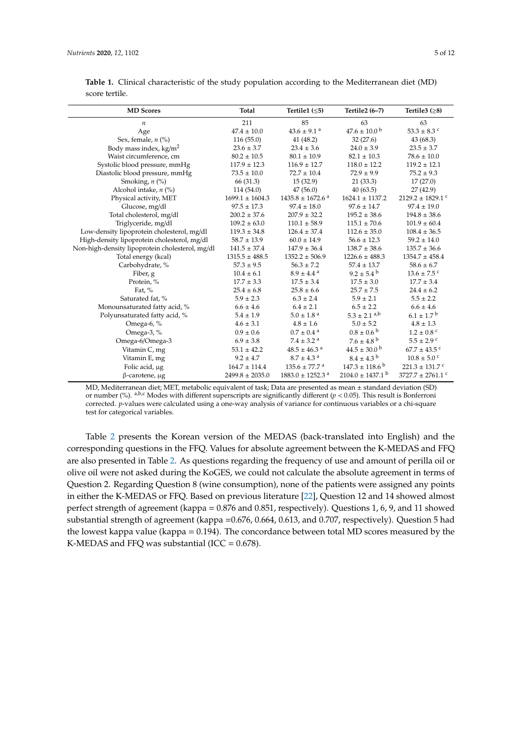| <b>MD</b> Scores                                | <b>Total</b>        | Tertile1 $( \leq 5)$             | Tertile2 (6-7)                   | Tertile3 $(≥8)$                  |
|-------------------------------------------------|---------------------|----------------------------------|----------------------------------|----------------------------------|
| $\boldsymbol{n}$                                | 211                 | 85                               | 63                               | 63                               |
| Age                                             | $47.4 \pm 10.0$     | $43.6 \pm 9.1$ <sup>a</sup>      | $47.6 \pm 10.0^{\circ}$          | $53.3 \pm 8.3$ °                 |
| Sex, female, $n$ (%)                            | 116(55.0)           | 41(48.2)                         | 32(27.6)                         | 43(68.3)                         |
| Body mass index, $\text{kg/m}^2$                | $23.6 \pm 3.7$      | $23.4 \pm 3.6$                   | $24.0 \pm 3.9$                   | $23.5 \pm 3.7$                   |
| Waist circumference, cm                         | $80.2 \pm 10.5$     | $80.1 \pm 10.9$                  | $82.1 \pm 10.3$                  | $78.6 \pm 10.0$                  |
| Systolic blood pressure, mmHg                   | $117.9 \pm 12.3$    | $116.9 \pm 12.7$                 | $118.0 \pm 12.2$                 | $119.2 \pm 12.1$                 |
| Diastolic blood pressure, mmHg                  | $73.5 \pm 10.0$     | $72.7 \pm 10.4$                  | $72.9 \pm 9.9$                   | $75.2 \pm 9.3$                   |
| Smoking, $n$ (%)                                | 66 (31.3)           | 15(32.9)                         | 21(33.3)                         | 17(27.0)                         |
| Alcohol intake, $n$ (%)                         | 114(54.0)           | 47(56.0)                         | 40(63.5)                         | 27(42.9)                         |
| Physical activity, MET                          | $1699.1 \pm 1604.3$ | $1435.8 \pm 1672.6$ <sup>a</sup> | $1624.1 \pm 1137.2$              | $2129.2 \pm 1829.1$ <sup>c</sup> |
| Glucose, mg/dl                                  | $97.5 \pm 17.3$     | $97.4 \pm 18.0$                  | $97.6 \pm 14.7$                  | $97.4 \pm 19.0$                  |
| Total cholesterol, mg/dl                        | $200.2 \pm 37.6$    | $207.9 \pm 32.2$                 | $195.2 \pm 38.6$                 | $194.8 \pm 38.6$                 |
| Triglyceride, mg/dl                             | $109.2 \pm 63.0$    | $110.1 \pm 58.9$                 | $115.1 \pm 70.6$                 | $101.9 \pm 60.4$                 |
| Low-density lipoprotein cholesterol, mg/dl      | $119.3 \pm 34.8$    | $126.4 \pm 37.4$                 | $112.6 \pm 35.0$                 | $108.4 \pm 36.5$                 |
| High-density lipoprotein cholesterol, mg/dl     | $58.7 \pm 13.9$     | $60.0 \pm 14.9$                  | $56.6 \pm 12.3$                  | $59.2 \pm 14.0$                  |
| Non-high-density lipoprotein cholesterol, mg/dl | $141.5 \pm 37.4$    | $147.9 \pm 36.4$                 | $138.7 \pm 38.6$                 | $135.7 \pm 36.6$                 |
| Total energy (kcal)                             | $1315.5 \pm 488.5$  | $1352.2 \pm 506.9$               | $1226.6 \pm 488.3$               | $1354.7 \pm 458.4$               |
| Carbohydrate, %                                 | $57.3 \pm 9.5$      | $56.3 \pm 7.2$                   | $57.4 \pm 13.7$                  | $58.6 \pm 6.7$                   |
| Fiber, g                                        | $10.4 \pm 6.1$      | $8.9 \pm 4.4^{\text{a}}$         | $9.2 \pm 5.4^{\circ}$            | $13.6 \pm 7.5$ <sup>c</sup>      |
| Protein, %                                      | $17.7 \pm 3.3$      | $17.5 \pm 3.4$                   | $17.5 \pm 3.0$                   | $17.7 \pm 3.4$                   |
| Fat, $%$                                        | $25.4 \pm 6.8$      | $25.8 \pm 6.6$                   | $25.7 \pm 7.5$                   | $24.4 \pm 6.2$                   |
| Saturated fat, %                                | $5.9 \pm 2.3$       | $6.3 \pm 2.4$                    | $5.9 \pm 2.1$                    | $5.5 \pm 2.2$                    |
| Monounsaturated fatty acid, %                   | $6.6 \pm 4.6$       | $6.4 \pm 2.1$                    | $6.5 \pm 2.2$                    | $6.6 \pm 4.6$                    |
| Polyunsaturated fatty acid, %                   | $5.4 \pm 1.9$       | $5.0 \pm 1.8$ <sup>a</sup>       | $5.3 \pm 2.1$ <sup>a,b</sup>     | $6.1 \pm 1.7^{\circ}$            |
| Omega-6, %                                      | $4.6 \pm 3.1$       | $4.8 \pm 1.6$                    | $5.0 \pm 5.2$                    | $4.8 \pm 1.3$                    |
| Omega-3, %                                      | $0.9 \pm 0.6$       | $0.7 \pm 0.4$ <sup>a</sup>       | $0.8 \pm 0.6^{b}$                | $1.2 \pm 0.8$ °                  |
| Omega-6/Omega-3                                 | $6.9 \pm 3.8$       | $7.4 \pm 3.2$ <sup>a</sup>       | $7.6 \pm 4.8^{\circ}$            | $5.5 \pm 2.9$ c                  |
| Vitamin C, mg                                   | $53.1 \pm 42.2$     | $48.5 \pm 46.3$ <sup>a</sup>     | $44.5 \pm 30.0^{\circ}$          | $67.7 \pm 43.5$ c                |
| Vitamin E, mg                                   | $9.2 \pm 4.7$       | $8.7 \pm 4.3$ <sup>a</sup>       | $8.4\pm4.3^{\text{ b}}$          | $10.8 \pm 5.0$ c                 |
| Folic acid, µg                                  | $164.7 \pm 114.4$   | $135.6 \pm 77.7$ <sup>a</sup>    | $147.3 \pm 118.6^{\mathrm{b}}$   | $221.3 \pm 131.7$ °              |
| $\beta$ -carotene, $\mu$ g                      | $2499.8 \pm 2035.0$ | $1883.0 \pm 1252.3$ <sup>a</sup> | $2104.0 \pm 1437.1$ <sup>b</sup> | 3727.7 $\pm$ 2761.1 °            |

<span id="page-4-0"></span>Table 1. Clinical characteristic of the study population according to the Mediterranean diet (MD) score tertile.

MD, Mediterranean diet; MET, metabolic equivalent of task; Data are presented as mean ± standard deviation (SD) or number (%). <sup>a,b,c</sup> Modes with different superscripts are significantly different ( $p < 0.05$ ). This result is Bonferroni corrected. *p*-values were calculated using a one-way analysis of variance for continuous variables or a chi-square test for categorical variables.

Table [2](#page-5-0) presents the Korean version of the MEDAS (back-translated into English) and the corresponding questions in the FFQ. Values for absolute agreement between the K-MEDAS and FFQ are also presented in Table [2.](#page-5-0) As questions regarding the frequency of use and amount of perilla oil or olive oil were not asked during the KoGES, we could not calculate the absolute agreement in terms of Question 2. Regarding Question 8 (wine consumption), none of the patients were assigned any points in either the K-MEDAS or FFQ. Based on previous literature [\[22\]](#page-10-13), Question 12 and 14 showed almost perfect strength of agreement (kappa = 0.876 and 0.851, respectively). Questions 1, 6, 9, and 11 showed substantial strength of agreement (kappa =0.676, 0.664, 0.613, and 0.707, respectively). Question 5 had the lowest kappa value (kappa = 0.194). The concordance between total MD scores measured by the K-MEDAS and FFQ was substantial (ICC =  $0.678$ ).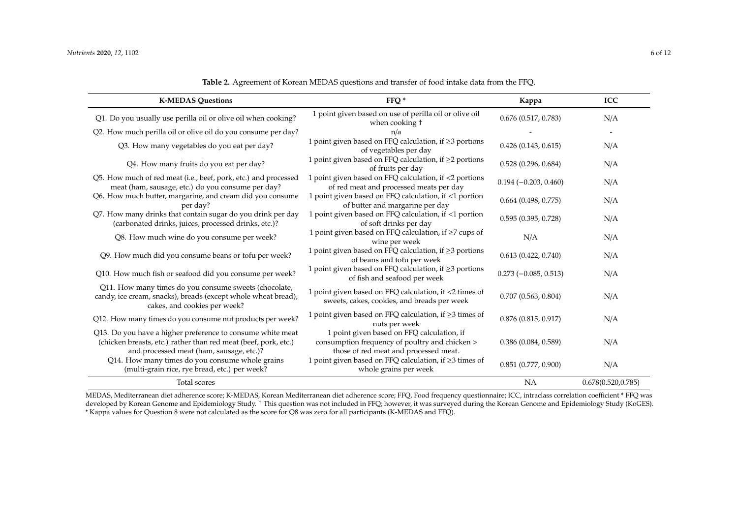| FFQ <sup>*</sup><br><b>K-MEDAS Questions</b>                                                                                                                              |                                                                                                                                       | Kappa                    | ICC                 |
|---------------------------------------------------------------------------------------------------------------------------------------------------------------------------|---------------------------------------------------------------------------------------------------------------------------------------|--------------------------|---------------------|
| Q1. Do you usually use perilla oil or olive oil when cooking?                                                                                                             | 1 point given based on use of perilla oil or olive oil<br>when cooking t                                                              | 0.676(0.517, 0.783)      | N/A                 |
| Q2. How much perilla oil or olive oil do you consume per day?                                                                                                             | n/a                                                                                                                                   |                          |                     |
| Q3. How many vegetables do you eat per day?                                                                                                                               | 1 point given based on FFQ calculation, if $\geq$ 3 portions<br>of vegetables per day                                                 | 0.426(0.143, 0.615)      | N/A                 |
| Q4. How many fruits do you eat per day?                                                                                                                                   | 1 point given based on FFQ calculation, if ≥2 portions<br>of fruits per day                                                           | 0.528(0.296, 0.684)      | N/A                 |
| Q5. How much of red meat (i.e., beef, pork, etc.) and processed<br>meat (ham, sausage, etc.) do you consume per day?                                                      | 1 point given based on FFQ calculation, if <2 portions<br>of red meat and processed meats per day                                     | $0.194 (-0.203, 0.460)$  | N/A                 |
| Q6. How much butter, margarine, and cream did you consume<br>per day?                                                                                                     | 1 point given based on FFQ calculation, if <1 portion<br>of butter and margarine per day                                              | $0.664$ (0.498, 0.775)   | N/A                 |
| Q7. How many drinks that contain sugar do you drink per day<br>(carbonated drinks, juices, processed drinks, etc.)?                                                       | 1 point given based on FFQ calculation, if <1 portion<br>of soft drinks per day                                                       | 0.595(0.395, 0.728)      | N/A                 |
| Q8. How much wine do you consume per week?                                                                                                                                | 1 point given based on FFQ calculation, if ≥7 cups of<br>wine per week                                                                | N/A                      | N/A                 |
| Q9. How much did you consume beans or tofu per week?                                                                                                                      | 1 point given based on FFQ calculation, if ≥3 portions<br>of beans and tofu per week                                                  | 0.613(0.422, 0.740)      | N/A                 |
| Q10. How much fish or seafood did you consume per week?                                                                                                                   | 1 point given based on FFQ calculation, if ≥3 portions<br>of fish and seafood per week                                                | $0.273 (-0.085, 0.513)$  | N/A                 |
| Q11. How many times do you consume sweets (chocolate,<br>candy, ice cream, snacks), breads (except whole wheat bread),<br>cakes, and cookies per week?                    | 1 point given based on FFQ calculation, if <2 times of<br>sweets, cakes, cookies, and breads per week                                 | 0.707(0.563, 0.804)      | N/A                 |
| Q12. How many times do you consume nut products per week?                                                                                                                 | 1 point given based on FFQ calculation, if $\geq$ 3 times of<br>nuts per week                                                         | 0.876(0.815, 0.917)      | N/A                 |
| Q13. Do you have a higher preference to consume white meat<br>(chicken breasts, etc.) rather than red meat (beef, pork, etc.)<br>and processed meat (ham, sausage, etc.)? | 1 point given based on FFQ calculation, if<br>consumption frequency of poultry and chicken ><br>those of red meat and processed meat. | 0.386(0.084, 0.589)      | N/A                 |
| Q14. How many times do you consume whole grains<br>(multi-grain rice, rye bread, etc.) per week?                                                                          | 1 point given based on FFQ calculation, if ≥3 times of<br>whole grains per week                                                       | $0.851$ $(0.777, 0.900)$ | N/A                 |
| Total scores                                                                                                                                                              |                                                                                                                                       | <b>NA</b>                | 0.678(0.520, 0.785) |

**Table 2.** Agreement of Korean MEDAS questions and transfer of food intake data from the FFQ.

<span id="page-5-0"></span>MEDAS, Mediterranean diet adherence score; K-MEDAS, Korean Mediterranean diet adherence score; FFQ, Food frequency questionnaire; ICC, intraclass correlation coefficient \* FFQ was developed by Korean Genome and Epidemiology Study. <sup>†</sup> This question was not included in FFQ; however, it was surveyed during the Korean Genome and Epidemiology Study (KoGES). \* Kappa values for Question 8 were not calculated as the score for Q8 was zero for all participants (K-MEDAS and FFQ).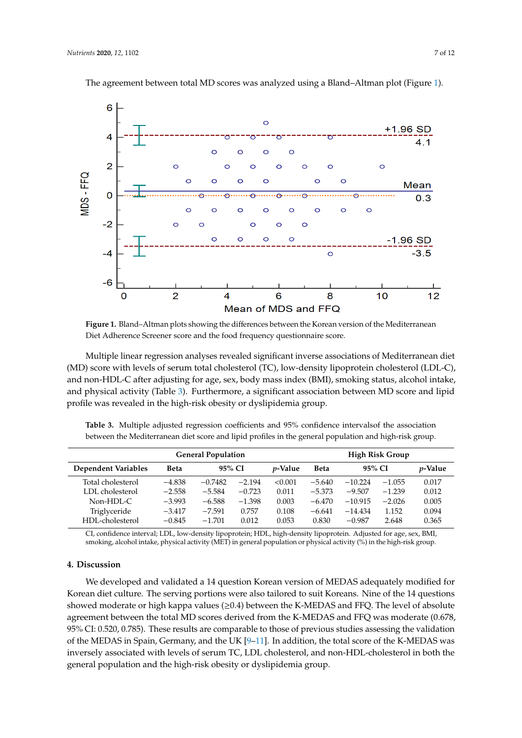<span id="page-6-0"></span>

The agreement between total MD scores was analyzed using a Bland-Altman plot (Figure [1\)](#page-6-0).

Diet Adherence Screener score and the food frequency questionnaire score. **Figure 1.** Bland–Altman plots showing the differences between the Korean version of the Mediterranean

(MD) score with levels of serum total cholesterol (TC), low-density lipoprotein cholesterol (LDL-C), and non-HDL-C after adjusting for age, sex, body mass index (BMI), smoking status, alcohol intake, and physical activity (Table [3\)](#page-6-1). Furthermore, a significant association between MD score and lipid profile was revealed in the high-risk obesity or dyslipidemia group. Multiple linear regression analyses revealed significant inverse associations of Mediterranean diet

<span id="page-6-1"></span>between the Mediterranean diet score and lipid profiles in the general population and high-risk group. **Table 3.** Multiple adjusted regression coefficients and 95% confidence intervalsof the association

| <b>General Population</b>  |          |           |          | <b>High Risk Group</b> |             |           |          |                 |
|----------------------------|----------|-----------|----------|------------------------|-------------|-----------|----------|-----------------|
| <b>Dependent Variables</b> | Beta     | 95% CI    |          | <i>v</i> -Value        | <b>Beta</b> | 95% CI    |          | <i>p</i> -Value |
| Total cholesterol          | $-4.838$ | $-0.7482$ | $-2.194$ | < 0.001                | $-5.640$    | $-10.224$ | $-1.055$ | 0.017           |
| LDL cholesterol            | $-2.558$ | $-5.584$  | $-0.723$ | 0.011                  | $-5.373$    | $-9.507$  | $-1.239$ | 0.012           |
| $Non-HDI-C$                | $-3.993$ | $-6.588$  | $-1.398$ | 0.003                  | $-6.470$    | $-10.915$ | $-2.026$ | 0.005           |
| Triglyceride               | $-3.417$ | $-7.591$  | 0.757    | 0.108                  | $-6.641$    | $-14.434$ | 1.152    | 0.094           |
| HDL-cholesterol            | $-0.845$ | $-1.701$  | 0.012    | 0.053                  | 0.830       | $-0.987$  | 2.648    | 0.365           |

CI, confidence interval; LDL, low-density lipoprotein; HDL, high-density lipoprotein. Adjusted for CI, confidence interval; LDL, low-density lipoprotein; HDL, high-density lipoprotein. Adjusted for age, sex, BMI, smoking, alcohol intake, physical activity (MET) in general population or physical activity (%) in the high-risk group.

#### **4. Discussion**

We developed and validated a 14 question Korean version of MEDAS adequately modified for Korean diet culture. The serving portions were also tailored to suit Koreans. Nine of the 14 questions showed moderate or high kappa values (≥0.4) between the K-MEDAS and FFQ. The level of absolute agreement between the total MD scores derived from the K-MEDAS and FFQ was moderate (0.678, 95% CI: 0.520, 0.785). These results are comparable to those of previous studies assessing the validation of the MEDAS in Spain, Germany, and the UK  $[9-11]$  $[9-11]$ . In addition, the total score of the K-MEDAS was inversely associated with levels of serum TC, LDL cholesterol, and non-HDL-cholesterol in both the general population and the high-risk obesity or dyslipidemia group.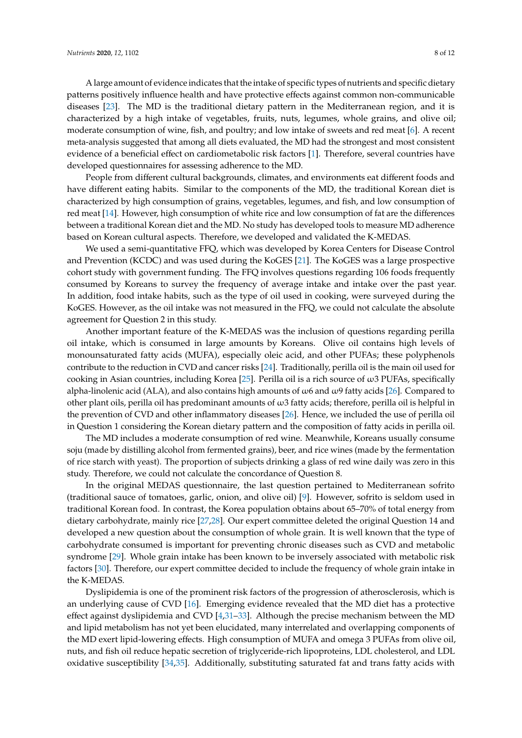A large amount of evidence indicates that the intake of specific types of nutrients and specific dietary patterns positively influence health and have protective effects against common non-communicable diseases [\[23\]](#page-10-14). The MD is the traditional dietary pattern in the Mediterranean region, and it is characterized by a high intake of vegetables, fruits, nuts, legumes, whole grains, and olive oil; moderate consumption of wine, fish, and poultry; and low intake of sweets and red meat [\[6\]](#page-9-3). A recent meta-analysis suggested that among all diets evaluated, the MD had the strongest and most consistent evidence of a beneficial effect on cardiometabolic risk factors [\[1\]](#page-9-0). Therefore, several countries have developed questionnaires for assessing adherence to the MD.

People from different cultural backgrounds, climates, and environments eat different foods and have different eating habits. Similar to the components of the MD, the traditional Korean diet is characterized by high consumption of grains, vegetables, legumes, and fish, and low consumption of red meat [\[14\]](#page-10-5). However, high consumption of white rice and low consumption of fat are the differences between a traditional Korean diet and the MD. No study has developed tools to measure MD adherence based on Korean cultural aspects. Therefore, we developed and validated the K-MEDAS.

We used a semi-quantitative FFQ, which was developed by Korea Centers for Disease Control and Prevention (KCDC) and was used during the KoGES [\[21\]](#page-10-12). The KoGES was a large prospective cohort study with government funding. The FFQ involves questions regarding 106 foods frequently consumed by Koreans to survey the frequency of average intake and intake over the past year. In addition, food intake habits, such as the type of oil used in cooking, were surveyed during the KoGES. However, as the oil intake was not measured in the FFQ, we could not calculate the absolute agreement for Question 2 in this study.

Another important feature of the K-MEDAS was the inclusion of questions regarding perilla oil intake, which is consumed in large amounts by Koreans. Olive oil contains high levels of monounsaturated fatty acids (MUFA), especially oleic acid, and other PUFAs; these polyphenols contribute to the reduction in CVD and cancer risks [\[24\]](#page-10-15). Traditionally, perilla oil is the main oil used for cooking in Asian countries, including Korea [\[25\]](#page-10-16). Perilla oil is a rich source of  $\omega$ 3 PUFAs, specifically alpha-linolenic acid (ALA), and also contains high amounts of  $\omega$ 6 and  $\omega$ 9 fatty acids [\[26\]](#page-10-17). Compared to other plant oils, perilla oil has predominant amounts of  $\omega$ 3 fatty acids; therefore, perilla oil is helpful in the prevention of CVD and other inflammatory diseases [\[26\]](#page-10-17). Hence, we included the use of perilla oil in Question 1 considering the Korean dietary pattern and the composition of fatty acids in perilla oil.

The MD includes a moderate consumption of red wine. Meanwhile, Koreans usually consume soju (made by distilling alcohol from fermented grains), beer, and rice wines (made by the fermentation of rice starch with yeast). The proportion of subjects drinking a glass of red wine daily was zero in this study. Therefore, we could not calculate the concordance of Question 8.

In the original MEDAS questionnaire, the last question pertained to Mediterranean sofrito (traditional sauce of tomatoes, garlic, onion, and olive oil) [\[9\]](#page-10-0). However, sofrito is seldom used in traditional Korean food. In contrast, the Korea population obtains about 65–70% of total energy from dietary carbohydrate, mainly rice [\[27,](#page-10-18)[28\]](#page-10-19). Our expert committee deleted the original Question 14 and developed a new question about the consumption of whole grain. It is well known that the type of carbohydrate consumed is important for preventing chronic diseases such as CVD and metabolic syndrome [\[29\]](#page-11-0). Whole grain intake has been known to be inversely associated with metabolic risk factors [\[30\]](#page-11-1). Therefore, our expert committee decided to include the frequency of whole grain intake in the K-MEDAS.

Dyslipidemia is one of the prominent risk factors of the progression of atherosclerosis, which is an underlying cause of CVD [\[16\]](#page-10-7). Emerging evidence revealed that the MD diet has a protective effect against dyslipidemia and CVD [\[4](#page-9-7)[,31–](#page-11-2)[33\]](#page-11-3). Although the precise mechanism between the MD and lipid metabolism has not yet been elucidated, many interrelated and overlapping components of the MD exert lipid-lowering effects. High consumption of MUFA and omega 3 PUFAs from olive oil, nuts, and fish oil reduce hepatic secretion of triglyceride-rich lipoproteins, LDL cholesterol, and LDL oxidative susceptibility [\[34,](#page-11-4)[35\]](#page-11-5). Additionally, substituting saturated fat and trans fatty acids with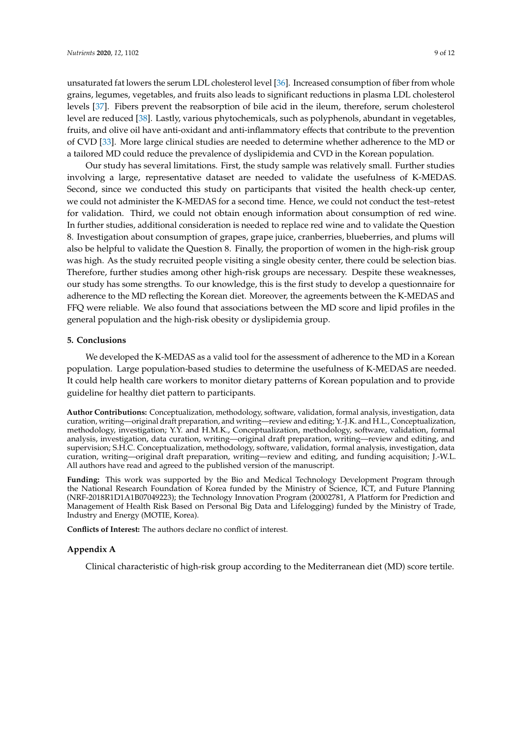unsaturated fat lowers the serum LDL cholesterol level [\[36\]](#page-11-6). Increased consumption of fiber from whole grains, legumes, vegetables, and fruits also leads to significant reductions in plasma LDL cholesterol levels [\[37\]](#page-11-7). Fibers prevent the reabsorption of bile acid in the ileum, therefore, serum cholesterol level are reduced [\[38\]](#page-11-8). Lastly, various phytochemicals, such as polyphenols, abundant in vegetables, fruits, and olive oil have anti-oxidant and anti-inflammatory effects that contribute to the prevention of CVD [\[33\]](#page-11-3). More large clinical studies are needed to determine whether adherence to the MD or a tailored MD could reduce the prevalence of dyslipidemia and CVD in the Korean population.

Our study has several limitations. First, the study sample was relatively small. Further studies involving a large, representative dataset are needed to validate the usefulness of K-MEDAS. Second, since we conducted this study on participants that visited the health check-up center, we could not administer the K-MEDAS for a second time. Hence, we could not conduct the test–retest for validation. Third, we could not obtain enough information about consumption of red wine. In further studies, additional consideration is needed to replace red wine and to validate the Question 8. Investigation about consumption of grapes, grape juice, cranberries, blueberries, and plums will also be helpful to validate the Question 8. Finally, the proportion of women in the high-risk group was high. As the study recruited people visiting a single obesity center, there could be selection bias. Therefore, further studies among other high-risk groups are necessary. Despite these weaknesses, our study has some strengths. To our knowledge, this is the first study to develop a questionnaire for adherence to the MD reflecting the Korean diet. Moreover, the agreements between the K-MEDAS and FFQ were reliable. We also found that associations between the MD score and lipid profiles in the general population and the high-risk obesity or dyslipidemia group.

## **5. Conclusions**

We developed the K-MEDAS as a valid tool for the assessment of adherence to the MD in a Korean population. Large population-based studies to determine the usefulness of K-MEDAS are needed. It could help health care workers to monitor dietary patterns of Korean population and to provide guideline for healthy diet pattern to participants.

**Author Contributions:** Conceptualization, methodology, software, validation, formal analysis, investigation, data curation, writing—original draft preparation, and writing—review and editing; Y.-J.K. and H.L., Conceptualization, methodology, investigation; Y.Y. and H.M.K., Conceptualization, methodology, software, validation, formal analysis, investigation, data curation, writing—original draft preparation, writing—review and editing, and supervision; S.H.C. Conceptualization, methodology, software, validation, formal analysis, investigation, data curation, writing—original draft preparation, writing—review and editing, and funding acquisition; J.-W.L. All authors have read and agreed to the published version of the manuscript.

**Funding:** This work was supported by the Bio and Medical Technology Development Program through the National Research Foundation of Korea funded by the Ministry of Science, ICT, and Future Planning (NRF-2018R1D1A1B07049223); the Technology Innovation Program (20002781, A Platform for Prediction and Management of Health Risk Based on Personal Big Data and Lifelogging) funded by the Ministry of Trade, Industry and Energy (MOTIE, Korea).

**Conflicts of Interest:** The authors declare no conflict of interest.

## **Appendix A**

Clinical characteristic of high-risk group according to the Mediterranean diet (MD) score tertile.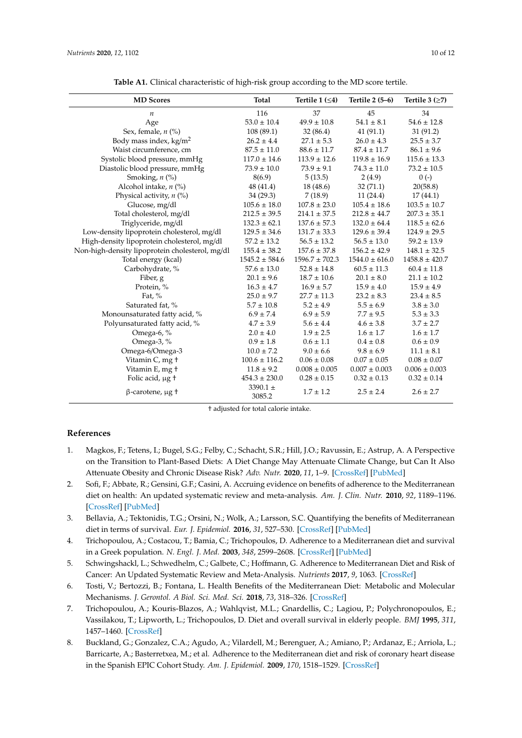<span id="page-9-6"></span>

| <b>MD</b> Scores                                | <b>Total</b>           | Tertile 1 $(\leq 4)$ | Tertile 2 (5–6)    | Tertile $3$ ( $\geq$ 7) |
|-------------------------------------------------|------------------------|----------------------|--------------------|-------------------------|
| $\boldsymbol{n}$                                | 116                    | 37                   | 45                 | 34                      |
| Age                                             | $53.0 \pm 10.4$        | $49.9 \pm 10.8$      | $54.1 \pm 8.1$     | $54.6 \pm 12.8$         |
| Sex, female, n (%)                              | 108(89.1)              | 32(86.4)             | 41(91.1)           | 31(91.2)                |
| Body mass index, $\text{kg/m}^2$                | $26.2 \pm 4.4$         | $27.1 \pm 5.3$       | $26.0 \pm 4.3$     | $25.5 \pm 3.7$          |
| Waist circumference, cm                         | $87.5 \pm 11.0$        | $88.6 \pm 11.7$      | $87.4 \pm 11.7$    | $86.1 \pm 9.6$          |
| Systolic blood pressure, mmHg                   | $117.0 \pm 14.6$       | $113.9 \pm 12.6$     | $119.8 \pm 16.9$   | $115.6 \pm 13.3$        |
| Diastolic blood pressure, mmHg                  | $73.9 \pm 10.0$        | $73.9 \pm 9.1$       | $74.3 \pm 11.0$    | $73.2 \pm 10.5$         |
| Smoking, n (%)                                  | 8(6.9)                 | 5(13.5)              | 2(4.9)             | $0(-)$                  |
| Alcohol intake, $n$ (%)                         | 48 (41.4)              | 18 (48.6)            | 32(71.1)           | 20(58.8)                |
| Physical activity, n (%)                        | 34(29.3)               | 7(18.9)              | 11(24.4)           | 17(44.1)                |
| Glucose, mg/dl                                  | $105.6 \pm 18.0$       | $107.8 \pm 23.0$     | $105.4 \pm 18.6$   | $103.5 \pm 10.7$        |
| Total cholesterol, mg/dl                        | $212.5 \pm 39.5$       | $214.1 \pm 37.5$     | $212.8 \pm 44.7$   | $207.3 \pm 35.1$        |
| Triglyceride, mg/dl                             | $132.3 \pm 62.1$       | $137.6 \pm 57.3$     | $132.0 \pm 64.4$   | $118.5 \pm 62.6$        |
| Low-density lipoprotein cholesterol, mg/dl      | $129.5 \pm 34.6$       | $131.7 \pm 33.3$     | $129.6 \pm 39.4$   | $124.9 \pm 29.5$        |
| High-density lipoprotein cholesterol, mg/dl     | $57.2 \pm 13.2$        | $56.5 \pm 13.2$      | $56.5 \pm 13.0$    | $59.2 \pm 13.9$         |
| Non-high-density lipoprotein cholesterol, mg/dl | $155.4 \pm 38.2$       | $157.6 \pm 37.8$     | $156.2 \pm 42.9$   | $148.1 \pm 32.5$        |
| Total energy (kcal)                             | $1545.2 \pm 584.6$     | $1596.7 \pm 702.3$   | $1544.0 \pm 616.0$ | $1458.8 \pm 420.7$      |
| Carbohydrate, %                                 | $57.6 \pm 13.0$        | $52.8 \pm 14.8$      | $60.5 \pm 11.3$    | $60.4 \pm 11.8$         |
| Fiber, g                                        | $20.1 \pm 9.6$         | $18.7 \pm 10.6$      | $20.1 \pm 8.0$     | $21.1 \pm 10.2$         |
| Protein, %                                      | $16.3 \pm 4.7$         | $16.9 \pm 5.7$       | $15.9 \pm 4.0$     | $15.9 \pm 4.9$          |
| Fat, $%$                                        | $25.0 \pm 9.7$         | $27.7 \pm 11.3$      | $23.2 \pm 8.3$     | $23.4 \pm 8.5$          |
| Saturated fat, %                                | $5.7 \pm 10.8$         | $5.2 \pm 4.9$        | $5.5 \pm 6.9$      | $3.8 \pm 3.0$           |
| Monounsaturated fatty acid, %                   | $6.9 \pm 7.4$          | $6.9 \pm 5.9$        | $7.7 \pm 9.5$      | $5.3 \pm 3.3$           |
| Polyunsaturated fatty acid, %                   | $4.7 \pm 3.9$          | $5.6 \pm 4.4$        | $4.6 \pm 3.8$      | $3.7 \pm 2.7$           |
| Omega-6, %                                      | $2.0 \pm 4.0$          | $1.9 \pm 2.5$        | $1.6 \pm 1.7$      | $1.6 \pm 1.7$           |
| Omega-3, %                                      | $0.9 \pm 1.8$          | $0.6 \pm 1.1$        | $0.4 \pm 0.8$      | $0.6 \pm 0.9$           |
| Omega-6/Omega-3                                 | $10.0 \pm 7.2$         | $9.0 \pm 6.6$        | $9.8 \pm 6.9$      | $11.1 \pm 8.1$          |
| Vitamin C, mg +                                 | $100.6 \pm 116.2$      | $0.06 \pm 0.08$      | $0.07 \pm 0.05$    | $0.08 \pm 0.07$         |
| Vitamin E, mg +                                 | $11.8 \pm 9.2$         | $0.008 \pm 0.005$    | $0.007 \pm 0.003$  | $0.006 \pm 0.003$       |
| Folic acid, µg +                                | $454.3 \pm 230.0$      | $0.28 \pm 0.15$      | $0.32 \pm 0.13$    | $0.32 \pm 0.14$         |
| $\beta$ -carotene, $\mu$ g †                    | 3390.1 $\pm$<br>3085.2 | $1.7 \pm 1.2$        | $2.5 \pm 2.4$      | $2.6 \pm 2.7$           |

|  | Table A1. Clinical characteristic of high-risk group according to the MD score tertile. |  |  |  |  |
|--|-----------------------------------------------------------------------------------------|--|--|--|--|
|--|-----------------------------------------------------------------------------------------|--|--|--|--|

† adjusted for total calorie intake.

## **References**

- <span id="page-9-0"></span>1. Magkos, F.; Tetens, I.; Bugel, S.G.; Felby, C.; Schacht, S.R.; Hill, J.O.; Ravussin, E.; Astrup, A. A Perspective on the Transition to Plant-Based Diets: A Diet Change May Attenuate Climate Change, but Can It Also Attenuate Obesity and Chronic Disease Risk? *Adv. Nutr.* **2020**, *11*, 1–9. [\[CrossRef\]](http://dx.doi.org/10.1093/advances/nmz090) [\[PubMed\]](http://www.ncbi.nlm.nih.gov/pubmed/31504086)
- <span id="page-9-1"></span>2. Sofi, F.; Abbate, R.; Gensini, G.F.; Casini, A. Accruing evidence on benefits of adherence to the Mediterranean diet on health: An updated systematic review and meta-analysis. *Am. J. Clin. Nutr.* **2010**, *92*, 1189–1196. [\[CrossRef\]](http://dx.doi.org/10.3945/ajcn.2010.29673) [\[PubMed\]](http://www.ncbi.nlm.nih.gov/pubmed/20810976)
- 3. Bellavia, A.; Tektonidis, T.G.; Orsini, N.; Wolk, A.; Larsson, S.C. Quantifying the benefits of Mediterranean diet in terms of survival. *Eur. J. Epidemiol.* **2016**, *31*, 527–530. [\[CrossRef\]](http://dx.doi.org/10.1007/s10654-016-0127-9) [\[PubMed\]](http://www.ncbi.nlm.nih.gov/pubmed/26848763)
- <span id="page-9-7"></span>4. Trichopoulou, A.; Costacou, T.; Bamia, C.; Trichopoulos, D. Adherence to a Mediterranean diet and survival in a Greek population. *N. Engl. J. Med.* **2003**, *348*, 2599–2608. [\[CrossRef\]](http://dx.doi.org/10.1056/NEJMoa025039) [\[PubMed\]](http://www.ncbi.nlm.nih.gov/pubmed/12826634)
- <span id="page-9-2"></span>5. Schwingshackl, L.; Schwedhelm, C.; Galbete, C.; Hoffmann, G. Adherence to Mediterranean Diet and Risk of Cancer: An Updated Systematic Review and Meta-Analysis. *Nutrients* **2017**, *9*, 1063. [\[CrossRef\]](http://dx.doi.org/10.3390/nu9101063)
- <span id="page-9-3"></span>6. Tosti, V.; Bertozzi, B.; Fontana, L. Health Benefits of the Mediterranean Diet: Metabolic and Molecular Mechanisms. *J. Gerontol. A Biol. Sci. Med. Sci.* **2018**, *73*, 318–326. [\[CrossRef\]](http://dx.doi.org/10.1093/gerona/glx227)
- <span id="page-9-4"></span>7. Trichopoulou, A.; Kouris-Blazos, A.; Wahlqvist, M.L.; Gnardellis, C.; Lagiou, P.; Polychronopoulos, E.; Vassilakou, T.; Lipworth, L.; Trichopoulos, D. Diet and overall survival in elderly people. *BMJ* **1995**, *311*, 1457–1460. [\[CrossRef\]](http://dx.doi.org/10.1136/bmj.311.7018.1457)
- <span id="page-9-5"></span>8. Buckland, G.; Gonzalez, C.A.; Agudo, A.; Vilardell, M.; Berenguer, A.; Amiano, P.; Ardanaz, E.; Arriola, L.; Barricarte, A.; Basterretxea, M.; et al. Adherence to the Mediterranean diet and risk of coronary heart disease in the Spanish EPIC Cohort Study. *Am. J. Epidemiol.* **2009**, *170*, 1518–1529. [\[CrossRef\]](http://dx.doi.org/10.1093/aje/kwp282)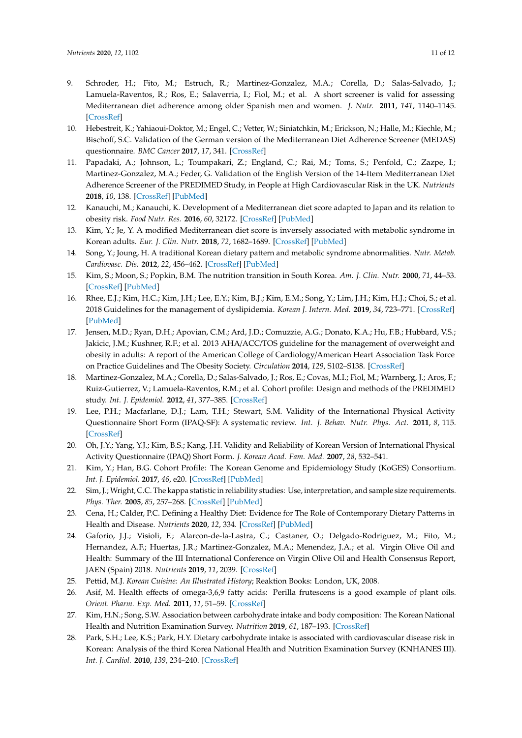- <span id="page-10-0"></span>9. Schroder, H.; Fito, M.; Estruch, R.; Martinez-Gonzalez, M.A.; Corella, D.; Salas-Salvado, J.; Lamuela-Raventos, R.; Ros, E.; Salaverria, I.; Fiol, M.; et al. A short screener is valid for assessing Mediterranean diet adherence among older Spanish men and women. *J. Nutr.* **2011**, *141*, 1140–1145. [\[CrossRef\]](http://dx.doi.org/10.3945/jn.110.135566)
- <span id="page-10-1"></span>10. Hebestreit, K.; Yahiaoui-Doktor, M.; Engel, C.; Vetter, W.; Siniatchkin, M.; Erickson, N.; Halle, M.; Kiechle, M.; Bischoff, S.C. Validation of the German version of the Mediterranean Diet Adherence Screener (MEDAS) questionnaire. *BMC Cancer* **2017**, *17*, 341. [\[CrossRef\]](http://dx.doi.org/10.1186/s12885-017-3337-y)
- <span id="page-10-2"></span>11. Papadaki, A.; Johnson, L.; Toumpakari, Z.; England, C.; Rai, M.; Toms, S.; Penfold, C.; Zazpe, I.; Martinez-Gonzalez, M.A.; Feder, G. Validation of the English Version of the 14-Item Mediterranean Diet Adherence Screener of the PREDIMED Study, in People at High Cardiovascular Risk in the UK. *Nutrients* **2018**, *10*, 138. [\[CrossRef\]](http://dx.doi.org/10.3390/nu10020138) [\[PubMed\]](http://www.ncbi.nlm.nih.gov/pubmed/29382082)
- <span id="page-10-3"></span>12. Kanauchi, M.; Kanauchi, K. Development of a Mediterranean diet score adapted to Japan and its relation to obesity risk. *Food Nutr. Res.* **2016**, *60*, 32172. [\[CrossRef\]](http://dx.doi.org/10.3402/fnr.v60.32172) [\[PubMed\]](http://www.ncbi.nlm.nih.gov/pubmed/27806831)
- <span id="page-10-4"></span>13. Kim, Y.; Je, Y. A modified Mediterranean diet score is inversely associated with metabolic syndrome in Korean adults. *Eur. J. Clin. Nutr.* **2018**, *72*, 1682–1689. [\[CrossRef\]](http://dx.doi.org/10.1038/s41430-018-0156-4) [\[PubMed\]](http://www.ncbi.nlm.nih.gov/pubmed/29563642)
- <span id="page-10-5"></span>14. Song, Y.; Joung, H. A traditional Korean dietary pattern and metabolic syndrome abnormalities. *Nutr. Metab. Cardiovasc. Dis.* **2012**, *22*, 456–462. [\[CrossRef\]](http://dx.doi.org/10.1016/j.numecd.2010.09.002) [\[PubMed\]](http://www.ncbi.nlm.nih.gov/pubmed/21215606)
- <span id="page-10-6"></span>15. Kim, S.; Moon, S.; Popkin, B.M. The nutrition transition in South Korea. *Am. J. Clin. Nutr.* **2000**, *71*, 44–53. [\[CrossRef\]](http://dx.doi.org/10.1093/ajcn/71.1.44) [\[PubMed\]](http://www.ncbi.nlm.nih.gov/pubmed/10617945)
- <span id="page-10-7"></span>16. Rhee, E.J.; Kim, H.C.; Kim, J.H.; Lee, E.Y.; Kim, B.J.; Kim, E.M.; Song, Y.; Lim, J.H.; Kim, H.J.; Choi, S.; et al. 2018 Guidelines for the management of dyslipidemia. *Korean J. Intern. Med.* **2019**, *34*, 723–771. [\[CrossRef\]](http://dx.doi.org/10.3904/kjim.2019.188) [\[PubMed\]](http://www.ncbi.nlm.nih.gov/pubmed/31272142)
- <span id="page-10-8"></span>17. Jensen, M.D.; Ryan, D.H.; Apovian, C.M.; Ard, J.D.; Comuzzie, A.G.; Donato, K.A.; Hu, F.B.; Hubbard, V.S.; Jakicic, J.M.; Kushner, R.F.; et al. 2013 AHA/ACC/TOS guideline for the management of overweight and obesity in adults: A report of the American College of Cardiology/American Heart Association Task Force on Practice Guidelines and The Obesity Society. *Circulation* **2014**, *129*, S102–S138. [\[CrossRef\]](http://dx.doi.org/10.1161/01.cir.0000437739.71477.ee)
- <span id="page-10-9"></span>18. Martinez-Gonzalez, M.A.; Corella, D.; Salas-Salvado, J.; Ros, E.; Covas, M.I.; Fiol, M.; Warnberg, J.; Aros, F.; Ruiz-Gutierrez, V.; Lamuela-Raventos, R.M.; et al. Cohort profile: Design and methods of the PREDIMED study. *Int. J. Epidemiol.* **2012**, *41*, 377–385. [\[CrossRef\]](http://dx.doi.org/10.1093/ije/dyq250)
- <span id="page-10-10"></span>19. Lee, P.H.; Macfarlane, D.J.; Lam, T.H.; Stewart, S.M. Validity of the International Physical Activity Questionnaire Short Form (IPAQ-SF): A systematic review. *Int. J. Behav. Nutr. Phys. Act.* **2011**, *8*, 115. [\[CrossRef\]](http://dx.doi.org/10.1186/1479-5868-8-115)
- <span id="page-10-11"></span>20. Oh, J.Y.; Yang, Y.J.; Kim, B.S.; Kang, J.H. Validity and Reliability of Korean Version of International Physical Activity Questionnaire (IPAQ) Short Form. *J. Korean Acad. Fam. Med.* **2007**, *28*, 532–541.
- <span id="page-10-12"></span>21. Kim, Y.; Han, B.G. Cohort Profile: The Korean Genome and Epidemiology Study (KoGES) Consortium. *Int. J. Epidemiol.* **2017**, *46*, e20. [\[CrossRef\]](http://dx.doi.org/10.1093/ije/dyv316) [\[PubMed\]](http://www.ncbi.nlm.nih.gov/pubmed/27085081)
- <span id="page-10-13"></span>22. Sim, J.; Wright, C.C. The kappa statistic in reliability studies: Use, interpretation, and sample size requirements. *Phys. Ther.* **2005**, *85*, 257–268. [\[CrossRef\]](http://dx.doi.org/10.1093/ptj/85.3.257) [\[PubMed\]](http://www.ncbi.nlm.nih.gov/pubmed/15733050)
- <span id="page-10-14"></span>23. Cena, H.; Calder, P.C. Defining a Healthy Diet: Evidence for The Role of Contemporary Dietary Patterns in Health and Disease. *Nutrients* **2020**, *12*, 334. [\[CrossRef\]](http://dx.doi.org/10.3390/nu12020334) [\[PubMed\]](http://www.ncbi.nlm.nih.gov/pubmed/32012681)
- <span id="page-10-15"></span>24. Gaforio, J.J.; Visioli, F.; Alarcon-de-la-Lastra, C.; Castaner, O.; Delgado-Rodriguez, M.; Fito, M.; Hernandez, A.F.; Huertas, J.R.; Martinez-Gonzalez, M.A.; Menendez, J.A.; et al. Virgin Olive Oil and Health: Summary of the III International Conference on Virgin Olive Oil and Health Consensus Report, JAEN (Spain) 2018. *Nutrients* **2019**, *11*, 2039. [\[CrossRef\]](http://dx.doi.org/10.3390/nu11092039)
- <span id="page-10-16"></span>25. Pettid, M.J. *Korean Cuisine: An Illustrated History*; Reaktion Books: London, UK, 2008.
- <span id="page-10-17"></span>26. Asif, M. Health effects of omega-3,6,9 fatty acids: Perilla frutescens is a good example of plant oils. *Orient. Pharm. Exp. Med.* **2011**, *11*, 51–59. [\[CrossRef\]](http://dx.doi.org/10.1007/s13596-011-0002-x)
- <span id="page-10-18"></span>27. Kim, H.N.; Song, S.W. Association between carbohydrate intake and body composition: The Korean National Health and Nutrition Examination Survey. *Nutrition* **2019**, *61*, 187–193. [\[CrossRef\]](http://dx.doi.org/10.1016/j.nut.2018.11.011)
- <span id="page-10-19"></span>28. Park, S.H.; Lee, K.S.; Park, H.Y. Dietary carbohydrate intake is associated with cardiovascular disease risk in Korean: Analysis of the third Korea National Health and Nutrition Examination Survey (KNHANES III). *Int. J. Cardiol.* **2010**, *139*, 234–240. [\[CrossRef\]](http://dx.doi.org/10.1016/j.ijcard.2008.10.011)